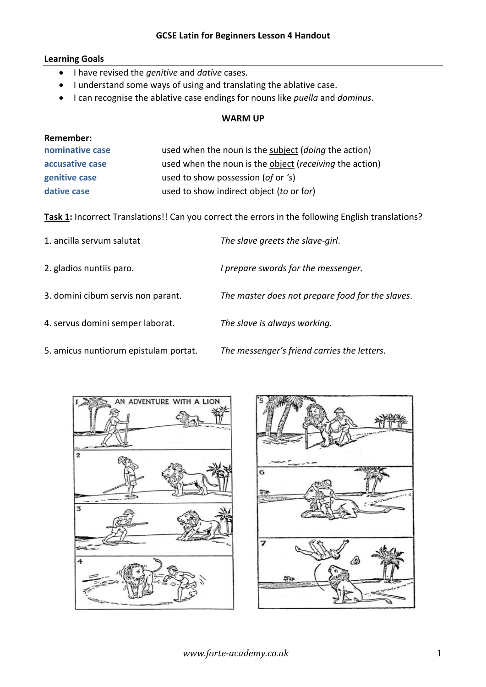### **GCSE Latin for Beginners Lesson 4 Handout**

# **Learning Goals**

- I have revised the *genitive* and *dative* cases.
- I understand some ways of using and translating the ablative case.
- I can recognise the ablative case endings for nouns like *puella* and *dominus*.

#### **WARM UP**

| Remember:       |                                                                 |
|-----------------|-----------------------------------------------------------------|
| nominative case | used when the noun is the subject ( <i>doing</i> the action)    |
| accusative case | used when the noun is the object ( <i>receiving</i> the action) |
| genitive case   | used to show possession (of or 's)                              |
| dative case     | used to show indirect object (to or for)                        |

**Task 1:** Incorrect Translations!! Can you correct the errors in the following English translations?

| 1. ancilla servum salutat          | The slave greets the slave-girl.                 |
|------------------------------------|--------------------------------------------------|
| 2. gladios nuntiis paro.           | I prepare swords for the messenger.              |
| 3. domini cibum servis non parant. | The master does not prepare food for the slaves. |
| 4. servus domini semper laborat.   | The slave is always working.                     |

5. amicus nuntiorum epistulam portat. *The messenger's friend carries the letters*.



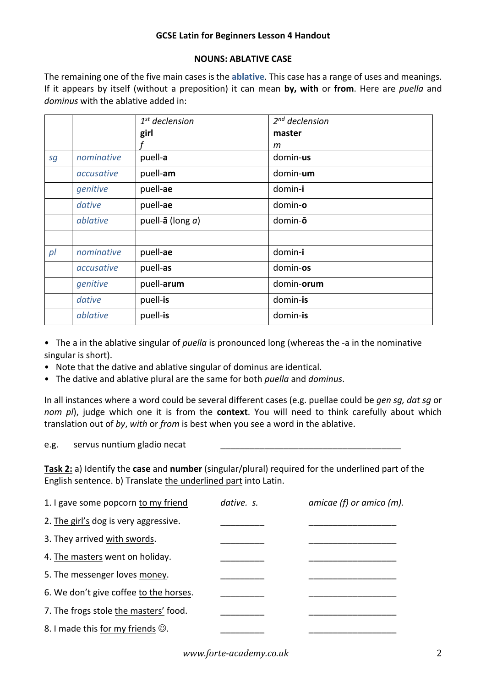## **GCSE Latin for Beginners Lesson 4 Handout**

# **NOUNS: ABLATIVE CASE**

The remaining one of the five main cases is the **ablative**. This case has a range of uses and meanings. If it appears by itself (without a preposition) it can mean **by, with** or **from**. Here are *puella* and *dominus* with the ablative added in:

|                |            | $1st$ declension             | $2nd$ declension |
|----------------|------------|------------------------------|------------------|
|                |            | girl                         | master           |
|                |            |                              | m                |
| sg             | nominative | puell-a                      | domin-us         |
|                | accusative | puell-am                     | domin-um         |
|                | genitive   | puell-ae                     | domin-i          |
|                | dative     | puell-ae                     | domin-o          |
|                | ablative   | puell- $\bar{a}$ (long $a$ ) | domin-ō          |
|                |            |                              |                  |
| p <sub>l</sub> | nominative | puell-ae                     | domin-i          |
|                | accusative | puell-as                     | domin-os         |
|                | genitive   | puell-arum                   | domin-orum       |
|                | dative     | puell-is                     | domin-is         |
|                | ablative   | puell-is                     | domin-is         |

• The a in the ablative singular of *puella* is pronounced long (whereas the -a in the nominative singular is short).

- Note that the dative and ablative singular of dominus are identical.
- The dative and ablative plural are the same for both *puella* and *dominus*.

In all instances where a word could be several different cases (e.g. puellae could be *gen sg, dat sg* or *nom pl*), judge which one it is from the **context**. You will need to think carefully about which translation out of *by*, *with* or *from* is best when you see a word in the ablative.

e.g. servus nuntium gladio necat

**Task 2:** a) Identify the **case** and **number** (singular/plural) required for the underlined part of the English sentence. b) Translate the underlined part into Latin.

| dative. s. | amicae (f) or amico (m). |
|------------|--------------------------|
|            |                          |
|            |                          |
|            |                          |
|            |                          |
|            |                          |
|            |                          |
|            |                          |
|            |                          |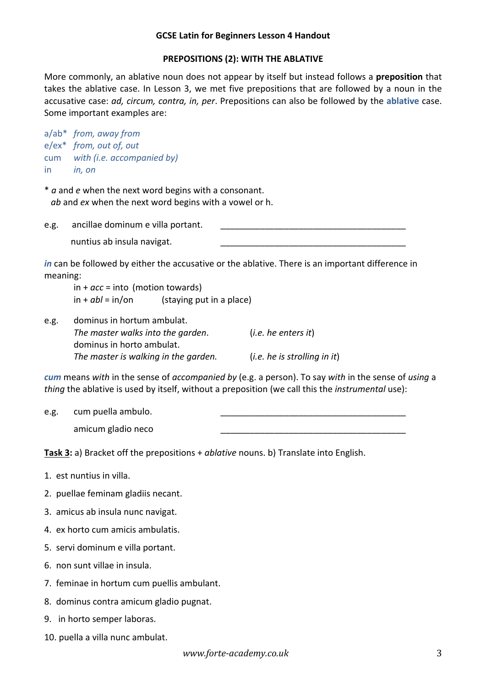### **GCSE Latin for Beginners Lesson 4 Handout**

# **PREPOSITIONS (2): WITH THE ABLATIVE**

More commonly, an ablative noun does not appear by itself but instead follows a **preposition** that takes the ablative case. In Lesson 3, we met five prepositions that are followed by a noun in the accusative case: *ad, circum, contra, in, per*. Prepositions can also be followed by the **ablative** case. Some important examples are:

|     | a/ab* from, away from      |
|-----|----------------------------|
|     | e/ex* from, out of, out    |
| cum | with (i.e. accompanied by) |
| in  | in, on                     |

\* *a* and *e* when the next word begins with a consonant. *ab* and *ex* when the next word begins with a vowel or h.

e.g. ancillae dominum e villa portant. nuntius ab insula navigat.

*in* can be followed by either the accusative or the ablative. There is an important difference in meaning:

in + *acc* = into (motion towards) in + *abl* = in/on (staying put in a place)

| e.g. | dominus in hortum ambulat.           |                              |  |
|------|--------------------------------------|------------------------------|--|
|      | The master walks into the garden.    | (i.e. he enters it)          |  |
|      | dominus in horto ambulat.            |                              |  |
|      | The master is walking in the garden. | (i.e. he is strolling in it) |  |

*cum* means *with* in the sense of *accompanied by* (e.g. a person). To say *with* in the sense of *using* a *thing* the ablative is used by itself, without a preposition (we call this the *instrumental* use):

e.g. cum puella ambulo.

amicum gladio neco

**Task 3:** a) Bracket off the prepositions + *ablative* nouns. b) Translate into English.

- 1. est nuntius in villa.
- 2. puellae feminam gladiis necant.
- 3. amicus ab insula nunc navigat.
- 4. ex horto cum amicis ambulatis.
- 5. servi dominum e villa portant.
- 6. non sunt villae in insula.
- 7. feminae in hortum cum puellis ambulant.
- 8. dominus contra amicum gladio pugnat.
- 9. in horto semper laboras.
- 10. puella a villa nunc ambulat.